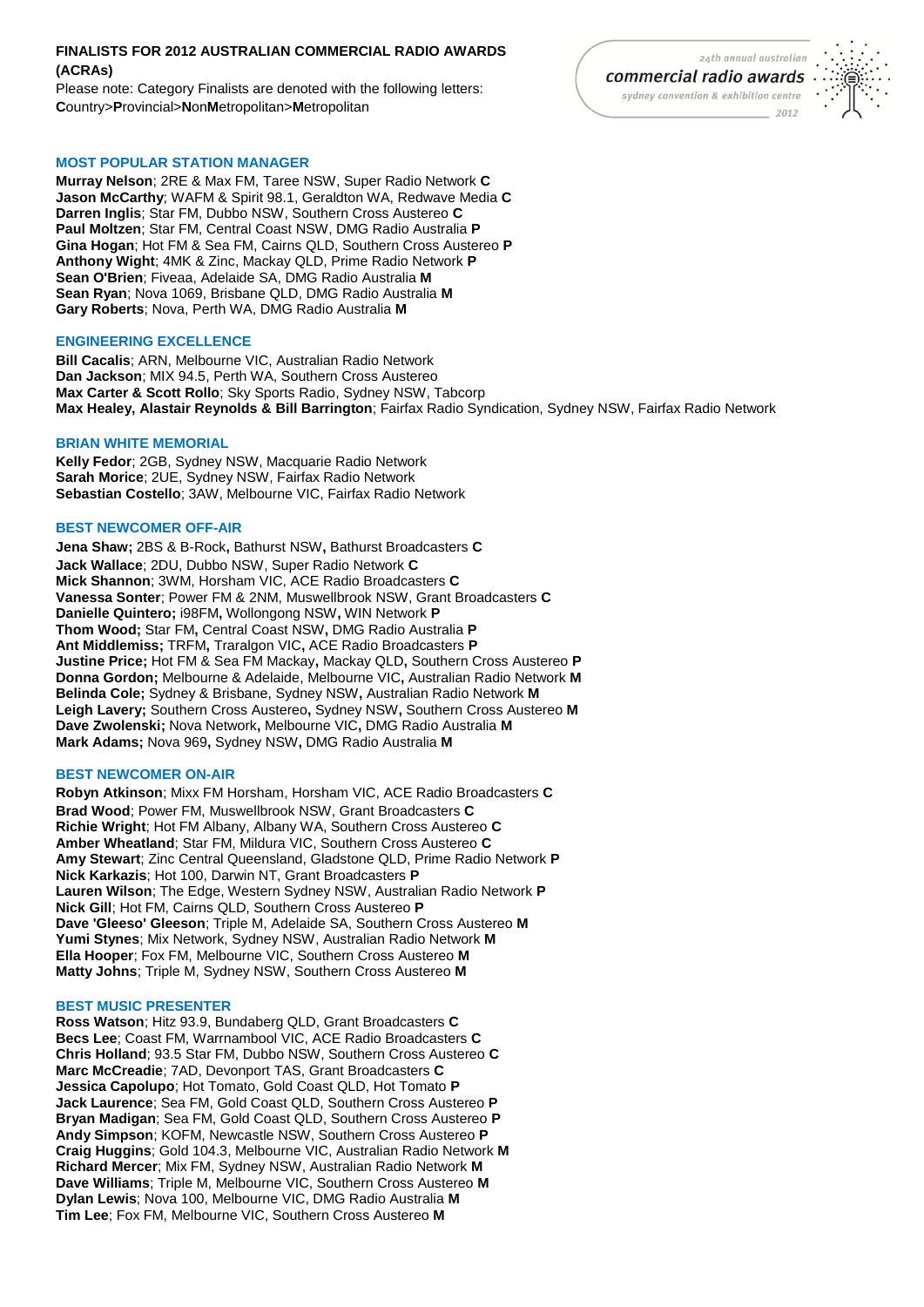# **FINALISTS FOR 2012 AUSTRALIAN COMMERCIAL RADIO AWARDS (ACRAs)**

Please note: Category Finalists are denoted with the following letters: **C**ountry>**P**rovincial>**N**on**M**etropolitan>**M**etropolitan

# **MOST POPULAR STATION MANAGER**

**Murray Nelson**; 2RE & Max FM, Taree NSW, Super Radio Network **C Jason McCarthy**; WAFM & Spirit 98.1, Geraldton WA, Redwave Media **C Darren Inglis**; Star FM, Dubbo NSW, Southern Cross Austereo **C Paul Moltzen**; Star FM, Central Coast NSW, DMG Radio Australia **P Gina Hogan**; Hot FM & Sea FM, Cairns QLD, Southern Cross Austereo **P Anthony Wight**; 4MK & Zinc, Mackay QLD, Prime Radio Network **P Sean O'Brien**; Fiveaa, Adelaide SA, DMG Radio Australia **M Sean Ryan**; Nova 1069, Brisbane QLD, DMG Radio Australia **M Gary Roberts**; Nova, Perth WA, DMG Radio Australia **M**

#### **ENGINEERING EXCELLENCE**

**Bill Cacalis**; ARN, Melbourne VIC, Australian Radio Network **Dan Jackson**; MIX 94.5, Perth WA, Southern Cross Austereo **Max Carter & Scott Rollo**; Sky Sports Radio, Sydney NSW, Tabcorp **Max Healey, Alastair Reynolds & Bill Barrington**; Fairfax Radio Syndication, Sydney NSW, Fairfax Radio Network

#### **BRIAN WHITE MEMORIAL**

**Kelly Fedor**; 2GB, Sydney NSW, Macquarie Radio Network **Sarah Morice**; 2UE, Sydney NSW, Fairfax Radio Network **Sebastian Costello**; 3AW, Melbourne VIC, Fairfax Radio Network

#### **BEST NEWCOMER OFF-AIR**

**Jena Shaw;** 2BS & B-Rock**,** Bathurst NSW**,** Bathurst Broadcasters **C Jack Wallace**; 2DU, Dubbo NSW, Super Radio Network **C Mick Shannon**; 3WM, Horsham VIC, ACE Radio Broadcasters **C Vanessa Sonter**; Power FM & 2NM, Muswellbrook NSW, Grant Broadcasters **C Danielle Quintero;** i98FM**,** Wollongong NSW**,** WIN Network **P Thom Wood;** Star FM**,** Central Coast NSW**,** DMG Radio Australia **P Ant Middlemiss;** TRFM**,** Traralgon VIC**,** ACE Radio Broadcasters **P Justine Price;** Hot FM & Sea FM Mackay**,** Mackay QLD**,** Southern Cross Austereo **P Donna Gordon;** Melbourne & Adelaide, Melbourne VIC**,** Australian Radio Network **M Belinda Cole;** Sydney & Brisbane, Sydney NSW**,** Australian Radio Network **M Leigh Lavery;** Southern Cross Austereo**,** Sydney NSW**,** Southern Cross Austereo **M Dave Zwolenski;** Nova Network**,** Melbourne VIC**,** DMG Radio Australia **M Mark Adams;** Nova 969**,** Sydney NSW**,** DMG Radio Australia **M**

## **BEST NEWCOMER ON-AIR**

**Robyn Atkinson**; Mixx FM Horsham, Horsham VIC, ACE Radio Broadcasters **C Brad Wood**; Power FM, Muswellbrook NSW, Grant Broadcasters **C Richie Wright**; Hot FM Albany, Albany WA, Southern Cross Austereo **C Amber Wheatland**; Star FM, Mildura VIC, Southern Cross Austereo **C Amy Stewart**; Zinc Central Queensland, Gladstone QLD, Prime Radio Network **P Nick Karkazis**; Hot 100, Darwin NT, Grant Broadcasters **P Lauren Wilson**; The Edge, Western Sydney NSW, Australian Radio Network **P Nick Gill**; Hot FM, Cairns QLD, Southern Cross Austereo **P Dave 'Gleeso' Gleeson**; Triple M, Adelaide SA, Southern Cross Austereo **M Yumi Stynes**; Mix Network, Sydney NSW, Australian Radio Network **M Ella Hooper**; Fox FM, Melbourne VIC, Southern Cross Austereo **M Matty Johns**; Triple M, Sydney NSW, Southern Cross Austereo **M**

#### **BEST MUSIC PRESENTER**

**Ross Watson**; Hitz 93.9, Bundaberg QLD, Grant Broadcasters **C Becs Lee**; Coast FM, Warrnambool VIC, ACE Radio Broadcasters **C Chris Holland**; 93.5 Star FM, Dubbo NSW, Southern Cross Austereo **C Marc McCreadie**; 7AD, Devonport TAS, Grant Broadcasters **C Jessica Capolupo**; Hot Tomato, Gold Coast QLD, Hot Tomato **P Jack Laurence**; Sea FM, Gold Coast QLD, Southern Cross Austereo **P Bryan Madigan**; Sea FM, Gold Coast QLD, Southern Cross Austereo **P Andy Simpson**; KOFM, Newcastle NSW, Southern Cross Austereo **P Craig Huggins**; Gold 104.3, Melbourne VIC, Australian Radio Network **M Richard Mercer**; Mix FM, Sydney NSW, Australian Radio Network **M Dave Williams**; Triple M, Melbourne VIC, Southern Cross Austereo **M Dylan Lewis**; Nova 100, Melbourne VIC, DMG Radio Australia **M Tim Lee**; Fox FM, Melbourne VIC, Southern Cross Austereo **M**

24th annual australian commercial radio awards sydney convention & exhibition centre 2012

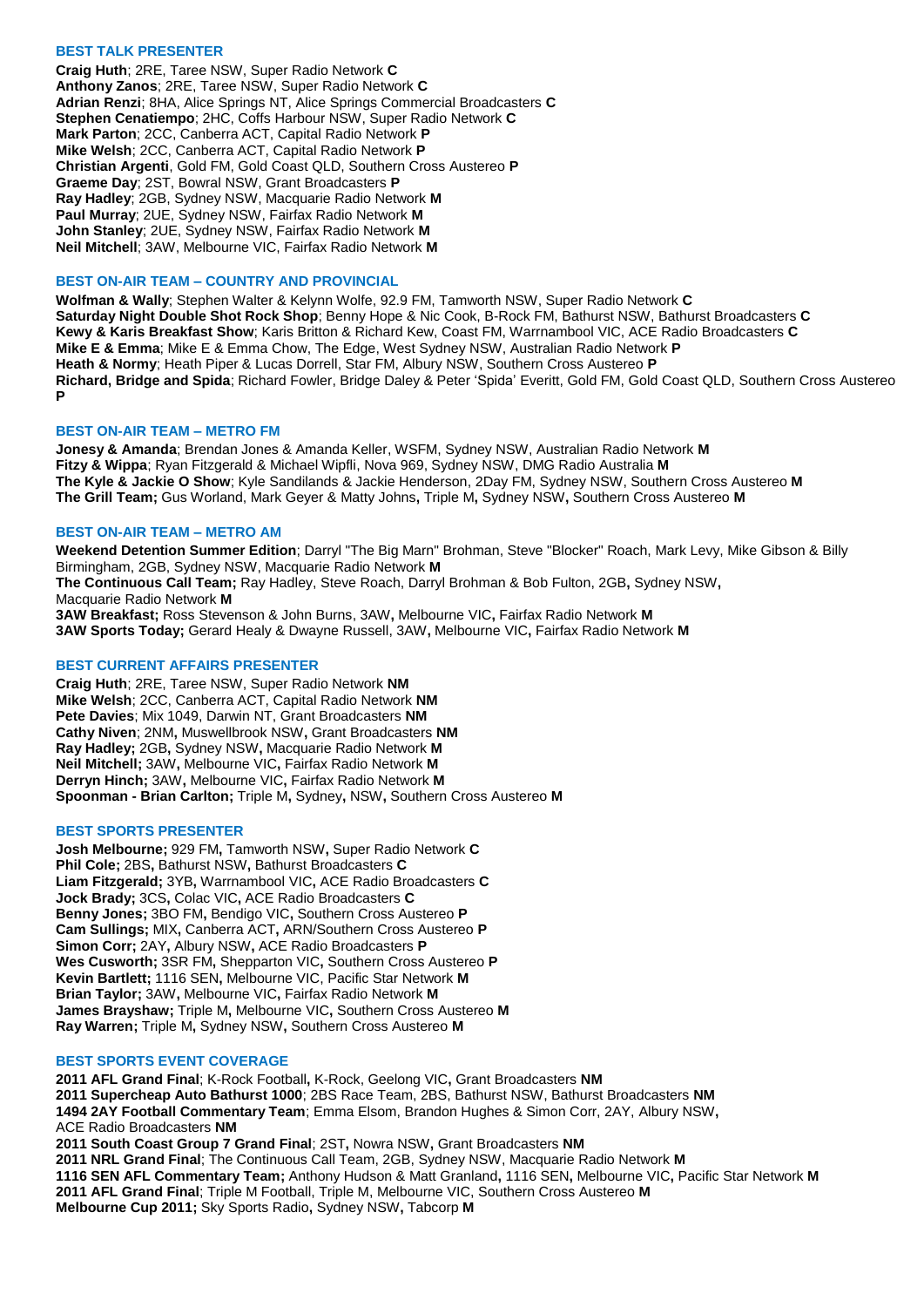## **BEST TALK PRESENTER**

**Craig Huth**; 2RE, Taree NSW, Super Radio Network **C Anthony Zanos**; 2RE, Taree NSW, Super Radio Network **C Adrian Renzi**; 8HA, Alice Springs NT, Alice Springs Commercial Broadcasters **C Stephen Cenatiempo**; 2HC, Coffs Harbour NSW, Super Radio Network **C Mark Parton**; 2CC, Canberra ACT, Capital Radio Network **P Mike Welsh**; 2CC, Canberra ACT, Capital Radio Network **P Christian Argenti**, Gold FM, Gold Coast QLD, Southern Cross Austereo **P Graeme Day**; 2ST, Bowral NSW, Grant Broadcasters **P Ray Hadley**; 2GB, Sydney NSW, Macquarie Radio Network **M Paul Murray**; 2UE, Sydney NSW, Fairfax Radio Network **M John Stanley**; 2UE, Sydney NSW, Fairfax Radio Network **M Neil Mitchell**; 3AW, Melbourne VIC, Fairfax Radio Network **M**

## **BEST ON-AIR TEAM – COUNTRY AND PROVINCIAL**

**Wolfman & Wally**; Stephen Walter & Kelynn Wolfe, 92.9 FM, Tamworth NSW, Super Radio Network **C Saturday Night Double Shot Rock Shop**; Benny Hope & Nic Cook, B-Rock FM, Bathurst NSW, Bathurst Broadcasters **C Kewy & Karis Breakfast Show**; Karis Britton & Richard Kew, Coast FM, Warrnambool VIC, ACE Radio Broadcasters **C Mike E & Emma**; Mike E & Emma Chow, The Edge, West Sydney NSW, Australian Radio Network **P Heath & Normy**; Heath Piper & Lucas Dorrell, Star FM, Albury NSW, Southern Cross Austereo **P Richard, Bridge and Spida**; Richard Fowler, Bridge Daley & Peter 'Spida' Everitt, Gold FM, Gold Coast QLD, Southern Cross Austereo **P**

## **BEST ON-AIR TEAM – METRO FM**

**Jonesy & Amanda**; Brendan Jones & Amanda Keller, WSFM, Sydney NSW, Australian Radio Network **M Fitzy & Wippa**; Ryan Fitzgerald & Michael Wipfli, Nova 969, Sydney NSW, DMG Radio Australia **M The Kyle & Jackie O Show**; Kyle Sandilands & Jackie Henderson, 2Day FM, Sydney NSW, Southern Cross Austereo **M The Grill Team;** Gus Worland, Mark Geyer & Matty Johns**,** Triple M**,** Sydney NSW**,** Southern Cross Austereo **M**

#### **BEST ON-AIR TEAM – METRO AM**

**Weekend Detention Summer Edition**; Darryl "The Big Marn" Brohman, Steve "Blocker" Roach, Mark Levy, Mike Gibson & Billy Birmingham, 2GB, Sydney NSW, Macquarie Radio Network **M The Continuous Call Team;** Ray Hadley, Steve Roach, Darryl Brohman & Bob Fulton, 2GB**,** Sydney NSW**,**  Macquarie Radio Network **M 3AW Breakfast;** Ross Stevenson & John Burns, 3AW**,** Melbourne VIC**,** Fairfax Radio Network **M 3AW Sports Today;** Gerard Healy & Dwayne Russell, 3AW**,** Melbourne VIC**,** Fairfax Radio Network **M**

#### **BEST CURRENT AFFAIRS PRESENTER**

**Craig Huth**; 2RE, Taree NSW, Super Radio Network **NM Mike Welsh**; 2CC, Canberra ACT, Capital Radio Network **NM Pete Davies**; Mix 1049, Darwin NT, Grant Broadcasters **NM Cathy Niven**; 2NM**,** Muswellbrook NSW**,** Grant Broadcasters **NM Ray Hadley;** 2GB**,** Sydney NSW**,** Macquarie Radio Network **M Neil Mitchell;** 3AW**,** Melbourne VIC**,** Fairfax Radio Network **M Derryn Hinch;** 3AW**,** Melbourne VIC**,** Fairfax Radio Network **M Spoonman - Brian Carlton;** Triple M**,** Sydney**,** NSW**,** Southern Cross Austereo **M**

#### **BEST SPORTS PRESENTER**

**Josh Melbourne;** 929 FM**,** Tamworth NSW**,** Super Radio Network **C Phil Cole;** 2BS**,** Bathurst NSW**,** Bathurst Broadcasters **C Liam Fitzgerald;** 3YB**,** Warrnambool VIC**,** ACE Radio Broadcasters **C Jock Brady;** 3CS**,** Colac VIC**,** ACE Radio Broadcasters **C Benny Jones;** 3BO FM**,** Bendigo VIC**,** Southern Cross Austereo **P Cam Sullings;** MIX**,** Canberra ACT**,** ARN/Southern Cross Austereo **P Simon Corr;** 2AY**,** Albury NSW**,** ACE Radio Broadcasters **P Wes Cusworth;** 3SR FM**,** Shepparton VIC**,** Southern Cross Austereo **P Kevin Bartlett;** 1116 SEN**,** Melbourne VIC, Pacific Star Network **M Brian Taylor;** 3AW**,** Melbourne VIC**,** Fairfax Radio Network **M James Brayshaw;** Triple M**,** Melbourne VIC**,** Southern Cross Austereo **M Ray Warren;** Triple M**,** Sydney NSW**,** Southern Cross Austereo **M**

#### **BEST SPORTS EVENT COVERAGE**

**2011 AFL Grand Final**; K-Rock Football**,** K-Rock, Geelong VIC**,** Grant Broadcasters **NM 2011 Supercheap Auto Bathurst 1000**; 2BS Race Team, 2BS, Bathurst NSW, Bathurst Broadcasters **NM 1494 2AY Football Commentary Team**; Emma Elsom, Brandon Hughes & Simon Corr, 2AY, Albury NSW**,**  ACE Radio Broadcasters **NM 2011 South Coast Group 7 Grand Final**; 2ST**,** Nowra NSW**,** Grant Broadcasters **NM 2011 NRL Grand Final**; The Continuous Call Team, 2GB, Sydney NSW, Macquarie Radio Network **M 1116 SEN AFL Commentary Team;** Anthony Hudson & Matt Granland**,** 1116 SEN**,** Melbourne VIC**,** Pacific Star Network **M 2011 AFL Grand Final**; Triple M Football, Triple M, Melbourne VIC, Southern Cross Austereo **M**

**Melbourne Cup 2011;** Sky Sports Radio**,** Sydney NSW**,** Tabcorp **M**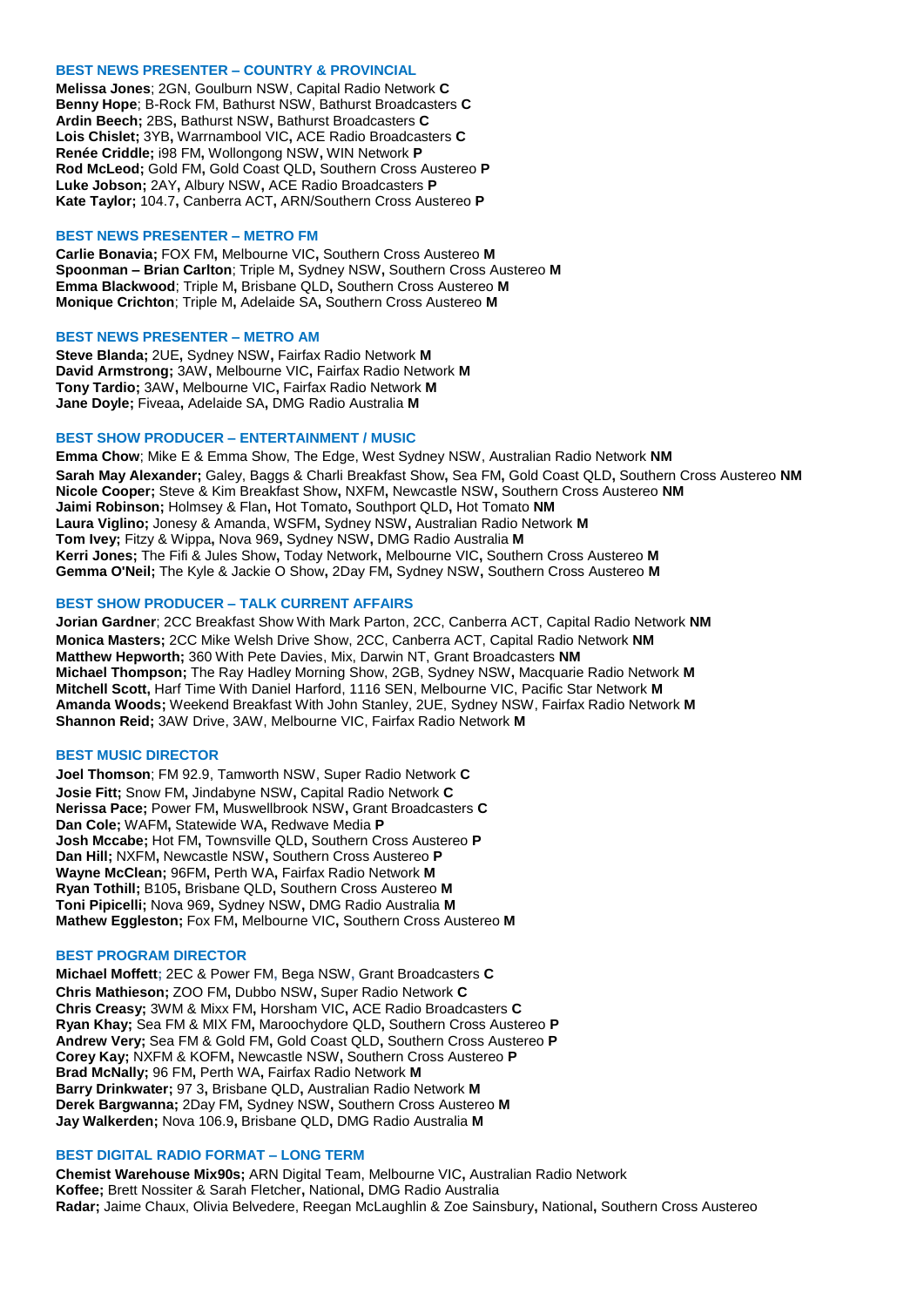#### **BEST NEWS PRESENTER – COUNTRY & PROVINCIAL**

**Melissa Jones**; 2GN, Goulburn NSW, Capital Radio Network **C Benny Hope**; B-Rock FM, Bathurst NSW, Bathurst Broadcasters **C Ardin Beech;** 2BS**,** Bathurst NSW**,** Bathurst Broadcasters **C Lois Chislet;** 3YB**,** Warrnambool VIC**,** ACE Radio Broadcasters **C Renée Criddle;** i98 FM**,** Wollongong NSW**,** WIN Network **P Rod McLeod;** Gold FM**,** Gold Coast QLD**,** Southern Cross Austereo **P Luke Jobson;** 2AY**,** Albury NSW**,** ACE Radio Broadcasters **P Kate Taylor;** 104.7**,** Canberra ACT**,** ARN/Southern Cross Austereo **P**

#### **BEST NEWS PRESENTER – METRO FM**

**Carlie Bonavia;** FOX FM**,** Melbourne VIC**,** Southern Cross Austereo **M Spoonman – Brian Carlton**; Triple M**,** Sydney NSW**,** Southern Cross Austereo **M Emma Blackwood**; Triple M**,** Brisbane QLD**,** Southern Cross Austereo **M Monique Crichton**; Triple M**,** Adelaide SA**,** Southern Cross Austereo **M**

#### **BEST NEWS PRESENTER – METRO AM**

**Steve Blanda;** 2UE**,** Sydney NSW**,** Fairfax Radio Network **M David Armstrong;** 3AW**,** Melbourne VIC**,** Fairfax Radio Network **M Tony Tardio;** 3AW**,** Melbourne VIC**,** Fairfax Radio Network **M Jane Doyle;** Fiveaa**,** Adelaide SA**,** DMG Radio Australia **M**

#### **BEST SHOW PRODUCER – ENTERTAINMENT / MUSIC**

**Emma Chow**; Mike E & Emma Show, The Edge, West Sydney NSW, Australian Radio Network **NM Sarah May Alexander;** Galey, Baggs & Charli Breakfast Show**,** Sea FM**,** Gold Coast QLD**,** Southern Cross Austereo **NM Nicole Cooper;** Steve & Kim Breakfast Show**,** NXFM**,** Newcastle NSW**,** Southern Cross Austereo **NM Jaimi Robinson;** Holmsey & Flan**,** Hot Tomato**,** Southport QLD**,** Hot Tomato **NM Laura Viglino;** Jonesy & Amanda, WSFM**,** Sydney NSW**,** Australian Radio Network **M Tom Ivey;** Fitzy & Wippa**,** Nova 969**,** Sydney NSW**,** DMG Radio Australia **M Kerri Jones;** The Fifi & Jules Show**,** Today Network**,** Melbourne VIC**,** Southern Cross Austereo **M Gemma O'Neil;** The Kyle & Jackie O Show**,** 2Day FM**,** Sydney NSW**,** Southern Cross Austereo **M**

## **BEST SHOW PRODUCER – TALK CURRENT AFFAIRS**

**Jorian Gardner**; 2CC Breakfast Show With Mark Parton, 2CC, Canberra ACT, Capital Radio Network **NM Monica Masters;** 2CC Mike Welsh Drive Show, 2CC, Canberra ACT, Capital Radio Network **NM Matthew Hepworth;** 360 With Pete Davies, Mix, Darwin NT, Grant Broadcasters **NM Michael Thompson;** The Ray Hadley Morning Show, 2GB, Sydney NSW**,** Macquarie Radio Network **M Mitchell Scott,** Harf Time With Daniel Harford, 1116 SEN, Melbourne VIC, Pacific Star Network **M Amanda Woods;** Weekend Breakfast With John Stanley, 2UE, Sydney NSW, Fairfax Radio Network **M Shannon Reid;** 3AW Drive, 3AW, Melbourne VIC, Fairfax Radio Network **M**

## **BEST MUSIC DIRECTOR**

**Joel Thomson**; FM 92.9, Tamworth NSW, Super Radio Network **C Josie Fitt;** Snow FM**,** Jindabyne NSW**,** Capital Radio Network **C Nerissa Pace;** Power FM**,** Muswellbrook NSW**,** Grant Broadcasters **C Dan Cole;** WAFM**,** Statewide WA**,** Redwave Media **P Josh Mccabe;** Hot FM**,** Townsville QLD**,** Southern Cross Austereo **P Dan Hill;** NXFM**,** Newcastle NSW**,** Southern Cross Austereo **P Wayne McClean;** 96FM**,** Perth WA**,** Fairfax Radio Network **M Ryan Tothill;** B105**,** Brisbane QLD**,** Southern Cross Austereo **M Toni Pipicelli;** Nova 969**,** Sydney NSW**,** DMG Radio Australia **M Mathew Eggleston;** Fox FM**,** Melbourne VIC**,** Southern Cross Austereo **M**

## **BEST PROGRAM DIRECTOR**

**Michael Moffett;** 2EC & Power FM**,** Bega NSW**,** Grant Broadcasters **C Chris Mathieson;** ZOO FM**,** Dubbo NSW**,** Super Radio Network **C Chris Creasy;** 3WM & Mixx FM**,** Horsham VIC**,** ACE Radio Broadcasters **C Ryan Khay;** Sea FM & MIX FM**,** Maroochydore QLD**,** Southern Cross Austereo **P Andrew Very;** Sea FM & Gold FM**,** Gold Coast QLD**,** Southern Cross Austereo **P Corey Kay;** NXFM & KOFM**,** Newcastle NSW**,** Southern Cross Austereo **P Brad McNally;** 96 FM**,** Perth WA**,** Fairfax Radio Network **M Barry Drinkwater;** 97 3**,** Brisbane QLD**,** Australian Radio Network **M Derek Bargwanna;** 2Day FM**,** Sydney NSW**,** Southern Cross Austereo **M Jay Walkerden;** Nova 106.9**,** Brisbane QLD**,** DMG Radio Australia **M**

## **BEST DIGITAL RADIO FORMAT – LONG TERM**

**Chemist Warehouse Mix90s;** ARN Digital Team, Melbourne VIC**,** Australian Radio Network **Koffee;** Brett Nossiter & Sarah Fletcher**,** National**,** DMG Radio Australia **Radar;** Jaime Chaux, Olivia Belvedere, Reegan McLaughlin & Zoe Sainsbury**,** National**,** Southern Cross Austereo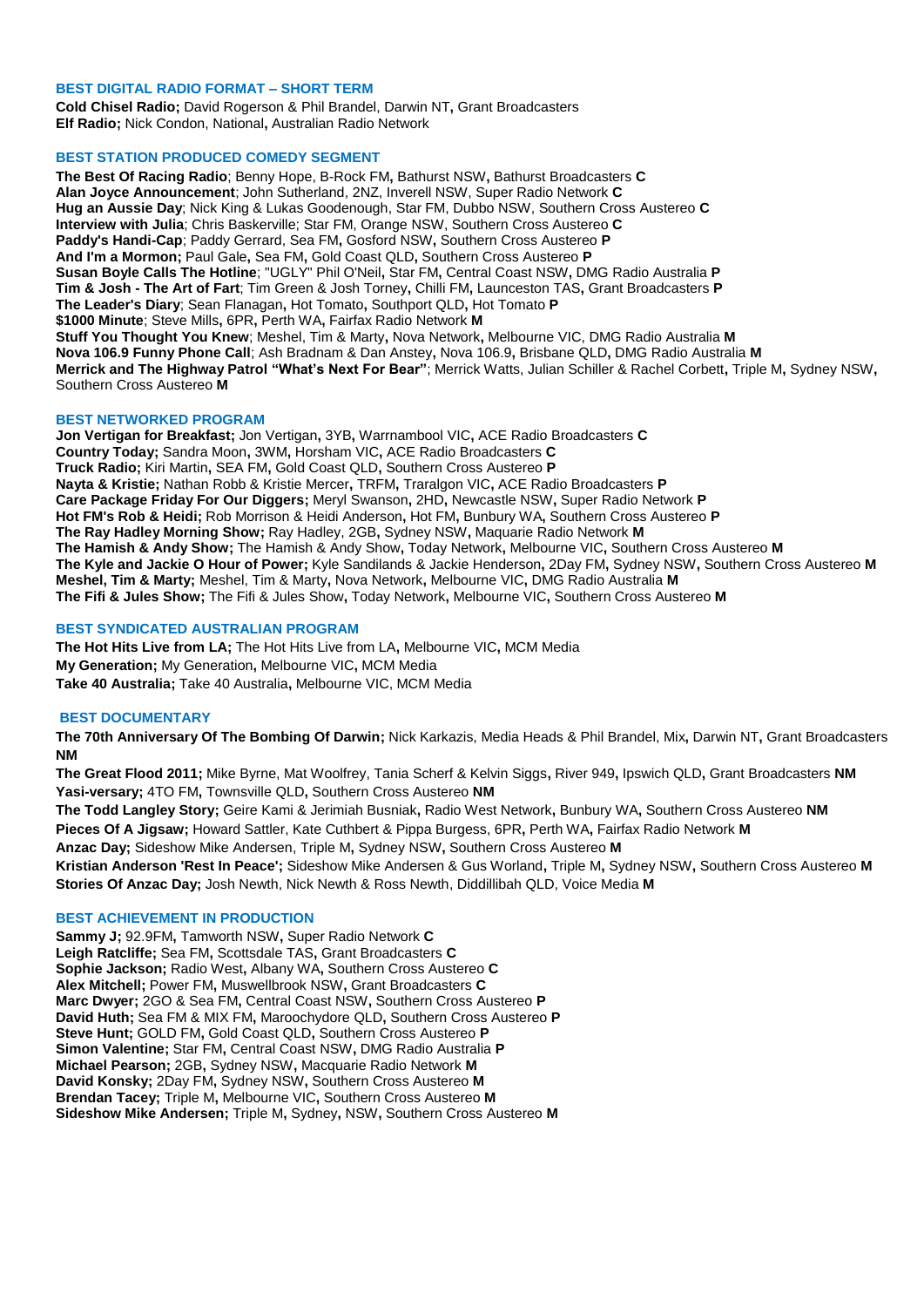## **BEST DIGITAL RADIO FORMAT – SHORT TERM**

**Cold Chisel Radio;** David Rogerson & Phil Brandel, Darwin NT**,** Grant Broadcasters **Elf Radio;** Nick Condon, National**,** Australian Radio Network

## **BEST STATION PRODUCED COMEDY SEGMENT**

**The Best Of Racing Radio**; Benny Hope, B-Rock FM**,** Bathurst NSW**,** Bathurst Broadcasters **C Alan Joyce Announcement**; John Sutherland, 2NZ, Inverell NSW, Super Radio Network **C Hug an Aussie Day**; Nick King & Lukas Goodenough, Star FM, Dubbo NSW, Southern Cross Austereo **C Interview with Julia**; Chris Baskerville; Star FM, Orange NSW, Southern Cross Austereo **C Paddy's Handi-Cap**; Paddy Gerrard, Sea FM**,** Gosford NSW**,** Southern Cross Austereo **P And I'm a Mormon;** Paul Gale**,** Sea FM**,** Gold Coast QLD**,** Southern Cross Austereo **P Susan Boyle Calls The Hotline**; "UGLY" Phil O'Neil**,** Star FM**,** Central Coast NSW**,** DMG Radio Australia **P Tim & Josh - The Art of Fart**; Tim Green & Josh Torney**,** Chilli FM**,** Launceston TAS**,** Grant Broadcasters **P The Leader's Diary**; Sean Flanagan**,** Hot Tomato**,** Southport QLD**,** Hot Tomato **P \$1000 Minute**; Steve Mills**,** 6PR**,** Perth WA**,** Fairfax Radio Network **M Stuff You Thought You Knew**; Meshel, Tim & Marty**,** Nova Network**,** Melbourne VIC, DMG Radio Australia **M Nova 106.9 Funny Phone Call**; Ash Bradnam & Dan Anstey**,** Nova 106.9**,** Brisbane QLD**,** DMG Radio Australia **M Merrick and The Highway Patrol "What's Next For Bear"**; Merrick Watts, Julian Schiller & Rachel Corbett**,** Triple M**,** Sydney NSW**,**  Southern Cross Austereo **M**

# **BEST NETWORKED PROGRAM**

**Jon Vertigan for Breakfast;** Jon Vertigan**,** 3YB**,** Warrnambool VIC**,** ACE Radio Broadcasters **C Country Today;** Sandra Moon**,** 3WM**,** Horsham VIC**,** ACE Radio Broadcasters **C Truck Radio;** Kiri Martin**,** SEA FM**,** Gold Coast QLD**,** Southern Cross Austereo **P Nayta & Kristie;** Nathan Robb & Kristie Mercer**,** TRFM**,** Traralgon VIC**,** ACE Radio Broadcasters **P Care Package Friday For Our Diggers;** Meryl Swanson**,** 2HD**,** Newcastle NSW**,** Super Radio Network **P Hot FM's Rob & Heidi;** Rob Morrison & Heidi Anderson**,** Hot FM**,** Bunbury WA**,** Southern Cross Austereo **P The Ray Hadley Morning Show;** Ray Hadley, 2GB**,** Sydney NSW**,** Maquarie Radio Network **M The Hamish & Andy Show;** The Hamish & Andy Show**,** Today Network**,** Melbourne VIC**,** Southern Cross Austereo **M The Kyle and Jackie O Hour of Power;** Kyle Sandilands & Jackie Henderson**,** 2Day FM**,** Sydney NSW**,** Southern Cross Austereo **M Meshel, Tim & Marty;** Meshel, Tim & Marty**,** Nova Network**,** Melbourne VIC**,** DMG Radio Australia **M The Fifi & Jules Show;** The Fifi & Jules Show**,** Today Network**,** Melbourne VIC**,** Southern Cross Austereo **M**

# **BEST SYNDICATED AUSTRALIAN PROGRAM**

**The Hot Hits Live from LA;** The Hot Hits Live from LA**,** Melbourne VIC**,** MCM Media **My Generation;** My Generation**,** Melbourne VIC**,** MCM Media **Take 40 Australia;** Take 40 Australia**,** Melbourne VIC, MCM Media

# **BEST DOCUMENTARY**

**The 70th Anniversary Of The Bombing Of Darwin;** Nick Karkazis, Media Heads & Phil Brandel, Mix**,** Darwin NT**,** Grant Broadcasters **NM**

**The Great Flood 2011;** Mike Byrne, Mat Woolfrey, Tania Scherf & Kelvin Siggs**,** River 949**,** Ipswich QLD**,** Grant Broadcasters **NM Yasi-versary;** 4TO FM**,** Townsville QLD**,** Southern Cross Austereo **NM The Todd Langley Story;** Geire Kami & Jerimiah Busniak**,** Radio West Network**,** Bunbury WA**,** Southern Cross Austereo **NM Pieces Of A Jigsaw;** Howard Sattler, Kate Cuthbert & Pippa Burgess, 6PR**,** Perth WA**,** Fairfax Radio Network **M**

**Anzac Day;** Sideshow Mike Andersen, Triple M**,** Sydney NSW**,** Southern Cross Austereo **M Kristian Anderson 'Rest In Peace';** Sideshow Mike Andersen & Gus Worland**,** Triple M**,** Sydney NSW**,** Southern Cross Austereo **M Stories Of Anzac Day;** Josh Newth, Nick Newth & Ross Newth, Diddillibah QLD, Voice Media **M**

# **BEST ACHIEVEMENT IN PRODUCTION**

**Sammy J;** 92.9FM**,** Tamworth NSW**,** Super Radio Network **C Leigh Ratcliffe;** Sea FM**,** Scottsdale TAS**,** Grant Broadcasters **C Sophie Jackson;** Radio West**,** Albany WA**,** Southern Cross Austereo **C Alex Mitchell;** Power FM**,** Muswellbrook NSW**,** Grant Broadcasters **C Marc Dwyer;** 2GO & Sea FM**,** Central Coast NSW**,** Southern Cross Austereo **P David Huth;** Sea FM & MIX FM**,** Maroochydore QLD**,** Southern Cross Austereo **P Steve Hunt;** GOLD FM**,** Gold Coast QLD**,** Southern Cross Austereo **P Simon Valentine;** Star FM**,** Central Coast NSW**,** DMG Radio Australia **P Michael Pearson;** 2GB**,** Sydney NSW**,** Macquarie Radio Network **M David Konsky;** 2Day FM**,** Sydney NSW**,** Southern Cross Austereo **M Brendan Tacey;** Triple M**,** Melbourne VIC**,** Southern Cross Austereo **M Sideshow Mike Andersen;** Triple M**,** Sydney**,** NSW**,** Southern Cross Austereo **M**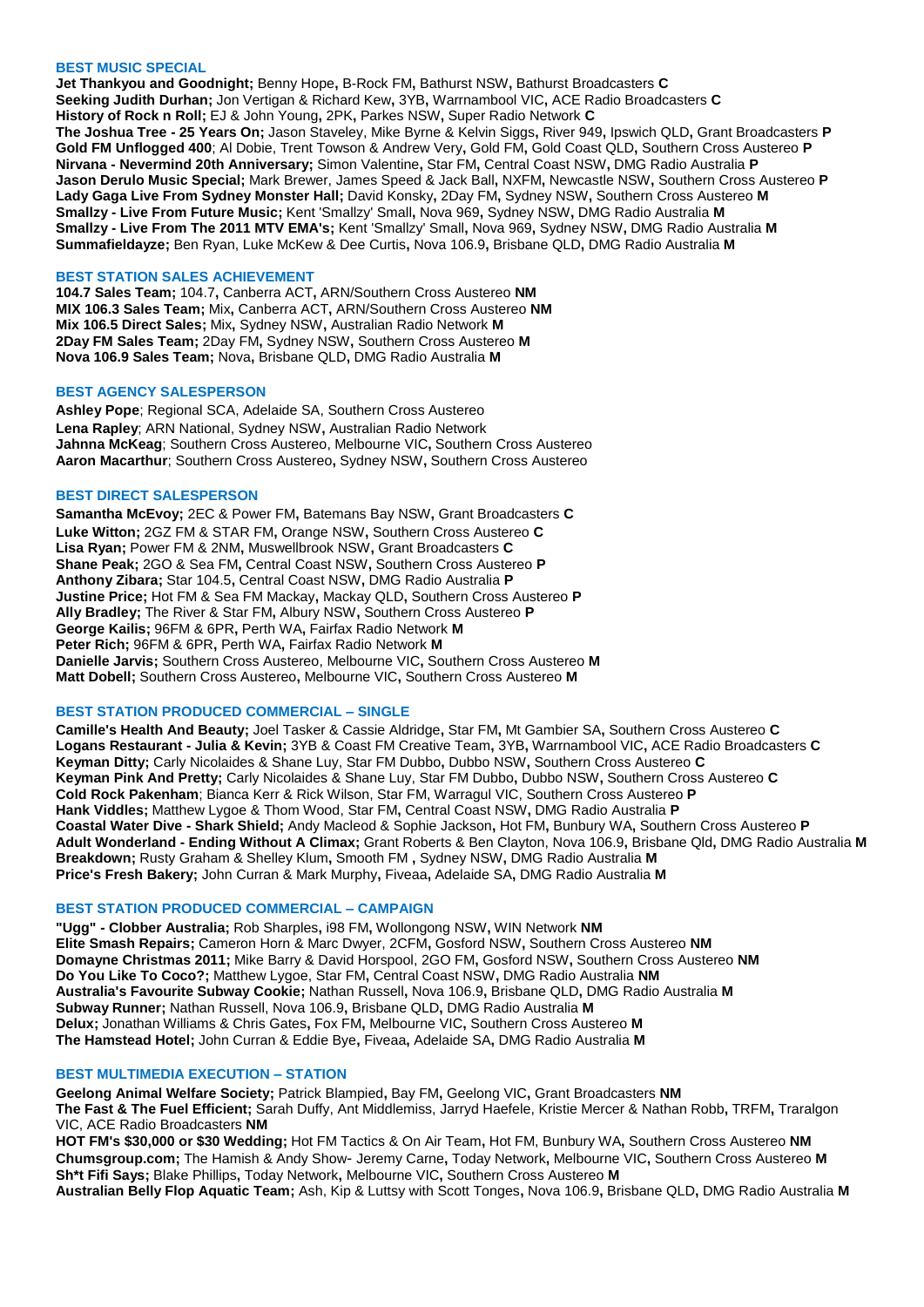#### **BEST MUSIC SPECIAL**

**Jet Thankyou and Goodnight;** Benny Hope**,** B-Rock FM**,** Bathurst NSW**,** Bathurst Broadcasters **C Seeking Judith Durhan;** Jon Vertigan & Richard Kew**,** 3YB**,** Warrnambool VIC**,** ACE Radio Broadcasters **C History of Rock n Roll;** EJ & John Young**,** 2PK**,** Parkes NSW**,** Super Radio Network **C The Joshua Tree - 25 Years On;** Jason Staveley, Mike Byrne & Kelvin Siggs**,** River 949**,** Ipswich QLD**,** Grant Broadcasters **P Gold FM Unflogged 400**; Al Dobie, Trent Towson & Andrew Very**,** Gold FM**,** Gold Coast QLD**,** Southern Cross Austereo **P Nirvana - Nevermind 20th Anniversary;** Simon Valentine**,** Star FM**,** Central Coast NSW**,** DMG Radio Australia **P Jason Derulo Music Special;** Mark Brewer, James Speed & Jack Ball**,** NXFM**,** Newcastle NSW**,** Southern Cross Austereo **P Lady Gaga Live From Sydney Monster Hall;** David Konsky**,** 2Day FM**,** Sydney NSW**,** Southern Cross Austereo **M Smallzy - Live From Future Music;** Kent 'Smallzy' Small**,** Nova 969**,** Sydney NSW**,** DMG Radio Australia **M Smallzy - Live From The 2011 MTV EMA's;** Kent 'Smallzy' Small**,** Nova 969**,** Sydney NSW**,** DMG Radio Australia **M Summafieldayze;** Ben Ryan, Luke McKew & Dee Curtis**,** Nova 106.9**,** Brisbane QLD**,** DMG Radio Australia **M**

## **BEST STATION SALES ACHIEVEMENT**

**104.7 Sales Team;** 104.7**,** Canberra ACT**,** ARN/Southern Cross Austereo **NM MIX 106.3 Sales Team;** Mix**,** Canberra ACT**,** ARN/Southern Cross Austereo **NM Mix 106.5 Direct Sales;** Mix**,** Sydney NSW**,** Australian Radio Network **M 2Day FM Sales Team;** 2Day FM**,** Sydney NSW**,** Southern Cross Austereo **M Nova 106.9 Sales Team;** Nova**,** Brisbane QLD**,** DMG Radio Australia **M**

## **BEST AGENCY SALESPERSON**

**Ashley Pope**; Regional SCA, Adelaide SA, Southern Cross Austereo **Lena Rapley**; ARN National, Sydney NSW**,** Australian Radio Network **Jahnna McKeag**; Southern Cross Austereo, Melbourne VIC**,** Southern Cross Austereo **Aaron Macarthur**; Southern Cross Austereo**,** Sydney NSW**,** Southern Cross Austereo

#### **BEST DIRECT SALESPERSON**

**Samantha McEvoy;** 2EC & Power FM**,** Batemans Bay NSW**,** Grant Broadcasters **C Luke Witton;** 2GZ FM & STAR FM**,** Orange NSW**,** Southern Cross Austereo **C Lisa Ryan;** Power FM & 2NM**,** Muswellbrook NSW**,** Grant Broadcasters **C Shane Peak;** 2GO & Sea FM**,** Central Coast NSW**,** Southern Cross Austereo **P Anthony Zibara;** Star 104.5**,** Central Coast NSW**,** DMG Radio Australia **P Justine Price;** Hot FM & Sea FM Mackay**,** Mackay QLD**,** Southern Cross Austereo **P Ally Bradley;** The River & Star FM**,** Albury NSW**,** Southern Cross Austereo **P George Kailis;** 96FM & 6PR**,** Perth WA**,** Fairfax Radio Network **M Peter Rich;** 96FM & 6PR**,** Perth WA**,** Fairfax Radio Network **M Danielle Jarvis;** Southern Cross Austereo, Melbourne VIC**,** Southern Cross Austereo **M Matt Dobell;** Southern Cross Austereo**,** Melbourne VIC**,** Southern Cross Austereo **M**

# **BEST STATION PRODUCED COMMERCIAL – SINGLE**

**Camille's Health And Beauty;** Joel Tasker & Cassie Aldridge**,** Star FM**,** Mt Gambier SA**,** Southern Cross Austereo **C Logans Restaurant - Julia & Kevin;** 3YB & Coast FM Creative Team**,** 3YB**,** Warrnambool VIC**,** ACE Radio Broadcasters **C Keyman Ditty;** Carly Nicolaides & Shane Luy, Star FM Dubbo**,** Dubbo NSW**,** Southern Cross Austereo **C Keyman Pink And Pretty;** Carly Nicolaides & Shane Luy, Star FM Dubbo**,** Dubbo NSW**,** Southern Cross Austereo **C Cold Rock Pakenham**; Bianca Kerr & Rick Wilson, Star FM, Warragul VIC, Southern Cross Austereo **P Hank Viddles;** Matthew Lygoe & Thom Wood, Star FM**,** Central Coast NSW**,** DMG Radio Australia **P Coastal Water Dive - Shark Shield;** Andy Macleod & Sophie Jackson**,** Hot FM**,** Bunbury WA**,** Southern Cross Austereo **P Adult Wonderland - Ending Without A Climax;** Grant Roberts & Ben Clayton, Nova 106.9**,** Brisbane Qld**,** DMG Radio Australia **M Breakdown;** Rusty Graham & Shelley Klum**,** Smooth FM **,** Sydney NSW**,** DMG Radio Australia **M Price's Fresh Bakery;** John Curran & Mark Murphy**,** Fiveaa**,** Adelaide SA**,** DMG Radio Australia **M**

## **BEST STATION PRODUCED COMMERCIAL – CAMPAIGN**

**"Ugg" - Clobber Australia;** Rob Sharples**,** i98 FM**,** Wollongong NSW**,** WIN Network **NM Elite Smash Repairs;** Cameron Horn & Marc Dwyer, 2CFM**,** Gosford NSW**,** Southern Cross Austereo **NM Domayne Christmas 2011;** Mike Barry & David Horspool, 2GO FM**,** Gosford NSW**,** Southern Cross Austereo **NM Do You Like To Coco?;** Matthew Lygoe, Star FM**,** Central Coast NSW**,** DMG Radio Australia **NM Australia's Favourite Subway Cookie;** Nathan Russell**,** Nova 106.9**,** Brisbane QLD**,** DMG Radio Australia **M Subway Runner;** Nathan Russell, Nova 106.9**,** Brisbane QLD**,** DMG Radio Australia **M Delux;** Jonathan Williams & Chris Gates**,** Fox FM**,** Melbourne VIC**,** Southern Cross Austereo **M The Hamstead Hotel;** John Curran & Eddie Bye**,** Fiveaa**,** Adelaide SA**,** DMG Radio Australia **M**

## **BEST MULTIMEDIA EXECUTION – STATION**

**Geelong Animal Welfare Society;** Patrick Blampied**,** Bay FM**,** Geelong VIC**,** Grant Broadcasters **NM The Fast & The Fuel Efficient;** Sarah Duffy, Ant Middlemiss, Jarryd Haefele, Kristie Mercer & Nathan Robb**,** TRFM**,** Traralgon VIC, ACE Radio Broadcasters **NM HOT FM's \$30,000 or \$30 Wedding;** Hot FM Tactics & On Air Team**,** Hot FM, Bunbury WA**,** Southern Cross Austereo **NM**

**Chumsgroup.com;** The Hamish & Andy Show- Jeremy Carne**,** Today Network**,** Melbourne VIC**,** Southern Cross Austereo **M Sh\*t Fifi Says;** Blake Phillips**,** Today Network**,** Melbourne VIC**,** Southern Cross Austereo **M Australian Belly Flop Aquatic Team;** Ash, Kip & Luttsy with Scott Tonges**,** Nova 106.9**,** Brisbane QLD**,** DMG Radio Australia **M**